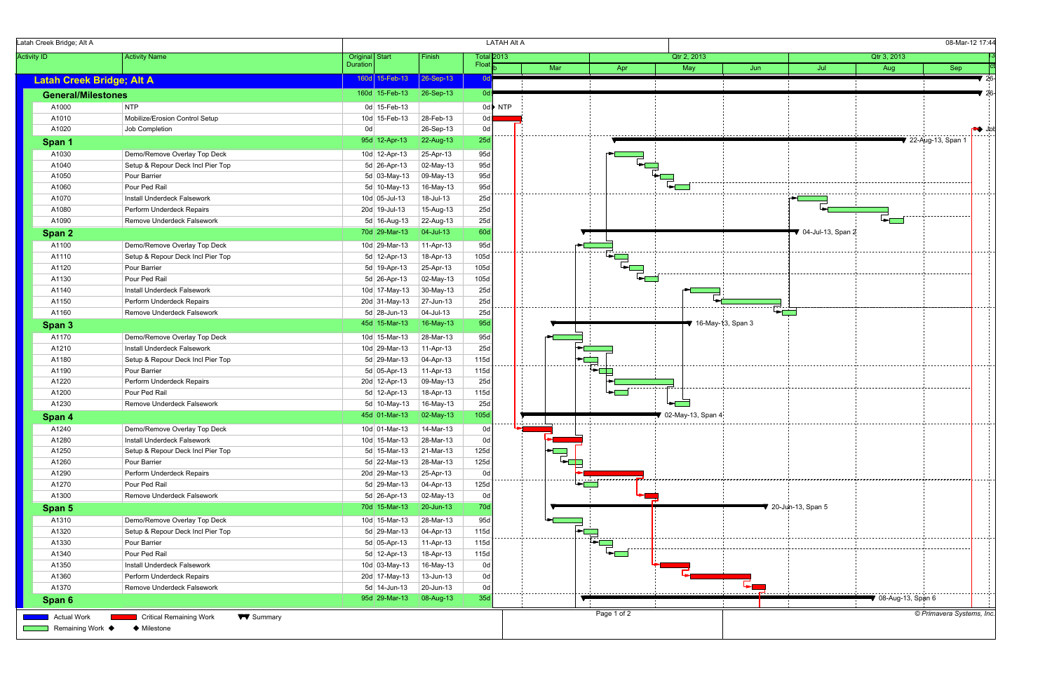

| Latah Creek Bridge; Alt A                                     |                                   |                                          |                        | <b>LATAH Alt A</b>         |                        |                  |                   |                     |                     |                                        | 08-Mar-12 17:44     |
|---------------------------------------------------------------|-----------------------------------|------------------------------------------|------------------------|----------------------------|------------------------|------------------|-------------------|---------------------|---------------------|----------------------------------------|---------------------|
| <b>Activity ID</b>                                            | <b>Activity Name</b>              | <b>Original</b> Start<br><b>Duration</b> | Finish                 | <b>Total 2013</b><br>Float |                        |                  | Qtr 2, 2013       |                     |                     | Qtr 3, 2013                            |                     |
|                                                               |                                   | 160d 15-Feb-13                           | $26-Sep-13$            | 0dl                        | Mar                    | Apr              | May               | Jun                 | Jul                 | Aug                                    | Sep                 |
| <b>Latah Creek Bridge; Alt A</b><br><b>General/Milestones</b> |                                   | 160d 15-Feb-13                           | $26-Sep-13$            | 0d                         |                        |                  |                   |                     |                     |                                        |                     |
| A1000                                                         | <b>NTP</b>                        | 0d 15-Feb-13                             |                        | $0d$ NTP                   |                        |                  |                   |                     |                     |                                        |                     |
| A1010                                                         | Mobilize/Erosion Control Setup    | 10d 15-Feb-13                            | 28-Feb-13              | 0d                         |                        |                  |                   |                     |                     |                                        |                     |
| A1020                                                         |                                   | 0d                                       |                        | 0d                         |                        |                  |                   |                     |                     |                                        |                     |
|                                                               | Job Completion                    | 95d 12-Apr-13                            | 26-Sep-13<br>22-Aug-13 | 25d                        |                        |                  |                   |                     |                     |                                        | ▼ 22-Aug-13, Span 1 |
| Span 1                                                        |                                   |                                          |                        |                            |                        |                  |                   |                     |                     |                                        |                     |
| A1030                                                         | Demo/Remove Overlay Top Deck      | 10d 12-Apr-13                            | 25-Apr-13              | 95d                        |                        |                  |                   |                     |                     |                                        |                     |
| A1040                                                         | Setup & Repour Deck Incl Pier Top | 5d 26-Apr-13                             | 02-May-13              | 95d                        |                        |                  |                   |                     |                     |                                        |                     |
| A1050                                                         | Pour Barrier                      | 5d 03-May-13                             | 09-May-13              | 95d                        |                        |                  |                   |                     |                     |                                        |                     |
| A1060                                                         | Pour Ped Rail                     | 5d 10-May-13                             | 16-May-13              | 95d                        |                        |                  |                   |                     |                     |                                        |                     |
| A1070                                                         | Install Underdeck Falsework       | 10d 05-Jul-13                            | 18-Jul-13              | 25d                        |                        |                  |                   |                     |                     |                                        |                     |
| A1080                                                         | Perform Underdeck Repairs         | 20d 19-Jul-13                            | 15-Aug-13              | 25d                        |                        |                  |                   |                     |                     |                                        |                     |
| A1090                                                         | Remove Underdeck Falsework        | 5d 16-Aug-13                             | $22-Aug-13$            | 25d                        |                        |                  |                   |                     |                     |                                        |                     |
| Span 2                                                        |                                   | 70d 29-Mar-13                            | $ 04 -$ Jul-13         | 60d                        |                        |                  |                   |                     | ₹ 04-Jul-13, Span 2 |                                        |                     |
| A1100                                                         | Demo/Remove Overlay Top Deck      | 10d 29-Mar-13                            | $11-Apr-13$            | 95d                        |                        |                  |                   |                     |                     |                                        |                     |
| A1110                                                         | Setup & Repour Deck Incl Pier Top | 5d 12-Apr-13                             | 18-Apr-13              | 105d                       |                        |                  |                   |                     |                     |                                        |                     |
| A1120                                                         | Pour Barrier                      | 5d 19-Apr-13                             | 25-Apr-13              | 105d                       |                        |                  |                   |                     |                     |                                        |                     |
| A1130                                                         | Pour Ped Rail                     | 5d 26-Apr-13                             | $\vert$ 02-May-13      | 105d                       |                        |                  |                   |                     |                     |                                        |                     |
| A1140                                                         | Install Underdeck Falsework       | 10d 17-May-13                            | $30$ -May-13           | 25d                        |                        |                  |                   |                     |                     |                                        |                     |
| A1150                                                         | Perform Underdeck Repairs         | 20d 31-May-13                            | $27$ -Jun-13           | 25d                        |                        |                  |                   |                     |                     |                                        |                     |
| A1160                                                         | Remove Underdeck Falsework        | 5d 28-Jun-13                             | 04-Jul-13              | 25d                        |                        |                  |                   |                     |                     |                                        |                     |
| Span 3                                                        |                                   | 45d 15-Mar-13                            | 16-May-13              | 95d                        |                        |                  |                   | ₹ 16-May-13, Span 3 |                     |                                        |                     |
| A1170                                                         | Demo/Remove Overlay Top Deck      | 10d 15-Mar-13                            | 28-Mar-13              | 95d                        |                        |                  |                   |                     |                     |                                        |                     |
| A1210                                                         | Install Underdeck Falsework       | 10d 29-Mar-13                            | 11-Apr-13              | 25d                        |                        |                  |                   |                     |                     |                                        |                     |
| A1180                                                         | Setup & Repour Deck Incl Pier Top | 5d 29-Mar-13                             | 04-Apr-13              | 115d                       |                        |                  |                   |                     |                     |                                        |                     |
| A1190                                                         | Pour Barrier                      | 5d 05-Apr-13                             | $11-Apr-13$            | 115d                       |                        |                  |                   |                     |                     |                                        |                     |
| A1220                                                         | Perform Underdeck Repairs         | 20d 12-Apr-13                            | 09-May-13              | 25d                        |                        |                  |                   |                     |                     |                                        |                     |
| A1200                                                         | Pour Ped Rail                     | $5d$ 12-Apr-13                           | 18-Apr-13              | 115d                       |                        | , <del>.</del> . |                   |                     |                     |                                        |                     |
| A1230                                                         | Remove Underdeck Falsework        | 5d 10-May-13                             | 16-May-13              | 25d                        |                        |                  |                   |                     |                     |                                        |                     |
| Span 4                                                        |                                   | 45d 01-Mar-13                            | 02-May-13              | 105d                       |                        |                  | 02-May-13, Span 4 |                     |                     |                                        |                     |
| A1240                                                         | Demo/Remove Overlay Top Deck      | 10d 01-Mar-13                            | 14-Mar-13              | 0d                         | ------ <del>----</del> |                  |                   |                     |                     |                                        |                     |
| A1280                                                         | Install Underdeck Falsework       | $10d$ 15-Mar-13                          | 28-Mar-13              | 0d                         |                        |                  |                   |                     |                     |                                        |                     |
| A1250                                                         | Setup & Repour Deck Incl Pier Top | $5d$ 15-Mar-13                           | $21$ -Mar-13           | 125d                       |                        |                  |                   |                     |                     |                                        |                     |
| A1260                                                         | Pour Barrier                      | 5d 22-Mar-13                             | 28-Mar-13              | 125d                       | $\overrightarrow{F}$   |                  |                   |                     |                     |                                        |                     |
| A1290                                                         | Perform Underdeck Repairs         | 20d 29-Mar-13                            | $25-Apr-13$            | 0d                         |                        |                  |                   |                     |                     |                                        |                     |
| A1270                                                         | Pour Ped Rail                     | $5d$ 29-Mar-13                           | $ 04 - Apr-13 $        | 125d                       |                        |                  |                   |                     |                     |                                        |                     |
| A1300                                                         | Remove Underdeck Falsework        | 5d 26-Apr-13                             | 02-May-13              | 0d                         |                        |                  |                   |                     |                     |                                        |                     |
|                                                               |                                   | 70d 15-Mar-13                            | $20$ -Jun-13           | 70d                        |                        |                  |                   |                     | 20-Jun-13, Span 5   |                                        |                     |
| Span 5                                                        |                                   |                                          |                        |                            |                        |                  |                   |                     |                     |                                        |                     |
| A1310                                                         | Demo/Remove Overlay Top Deck      | 10d 15-Mar-13                            | 28-Mar-13              | 95d                        |                        |                  |                   |                     |                     |                                        |                     |
| A1320                                                         | Setup & Repour Deck Incl Pier Top | $5d$ 29-Mar-13                           | $ 04 - Apr-13 $        | 115d                       |                        |                  |                   |                     |                     |                                        |                     |
| A1330                                                         | Pour Barrier                      | 5d 05-Apr-13                             | $ 11-Apr-13 $          | 115d                       |                        |                  |                   |                     |                     |                                        |                     |
| A1340                                                         | Pour Ped Rail                     | 5d 12-Apr-13                             | 18-Apr-13              | 115d                       |                        |                  |                   |                     |                     |                                        |                     |
| A1350                                                         | Install Underdeck Falsework       | 10d 03-May-13                            | 16-May-13              | 0d                         |                        |                  |                   |                     |                     |                                        |                     |
| A1360                                                         | Perform Underdeck Repairs         | 20d 17-May-13                            | 13-Jun-13              | 0d                         |                        |                  |                   |                     |                     |                                        |                     |
| A1370                                                         | Remove Underdeck Falsework        | $5d$ 14-Jun-13                           | $20$ -Jun-13           | 0d                         |                        |                  |                   |                     |                     |                                        |                     |
| Span 6                                                        |                                   | 95d 29-Mar-13                            | 08-Aug-13              | 35d                        |                        |                  |                   |                     |                     | $\blacktriangledown$ 08-Aug-13, Span 6 |                     |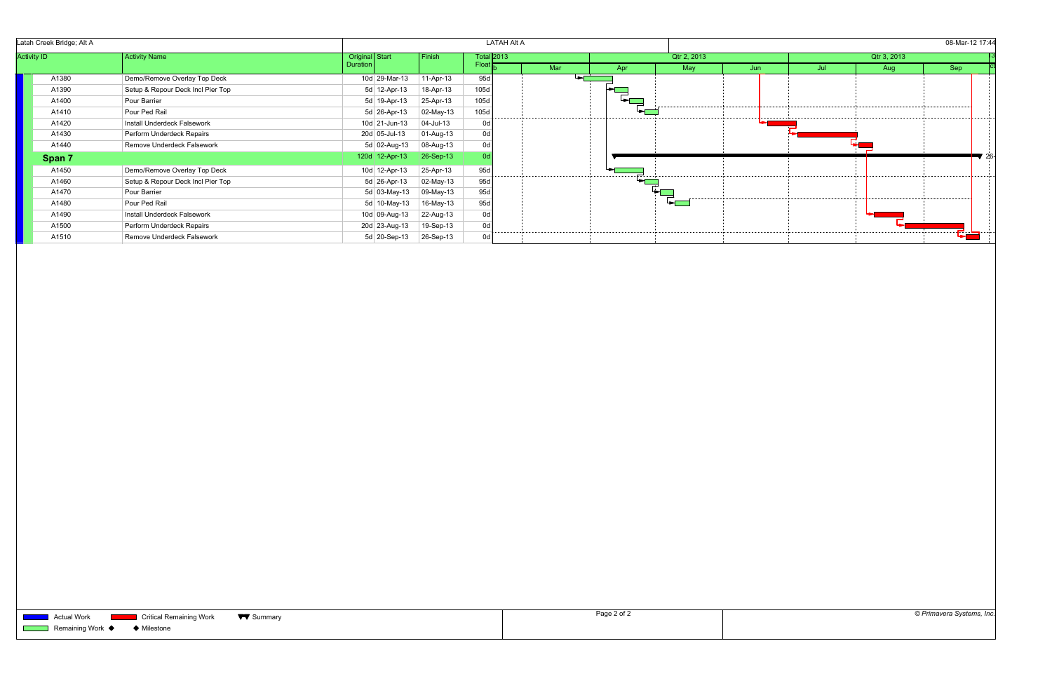|                    | Latah Creek Bridge; Alt A |                                   |                |                 |                | <b>LATAH Alt A</b> |     |            |             |     |     |             | 08-Mar-12 17:44 |                   |
|--------------------|---------------------------|-----------------------------------|----------------|-----------------|----------------|--------------------|-----|------------|-------------|-----|-----|-------------|-----------------|-------------------|
| <b>Activity ID</b> |                           | <b>Activity Name</b>              | Original Start |                 | Finish         | <b>Total 2013</b>  |     |            | Qtr 2, 2013 |     |     | Qtr 3, 2013 |                 |                   |
|                    |                           |                                   | Duration       |                 |                | Floa               | Mar | <b>Apr</b> | May         | Jun | Jul | Aug         | <b>Sep</b>      |                   |
|                    | A1380                     | Demo/Remove Overlay Top Deck      |                | 10d 29-Mar-13   | 11-Apr-13      | 95d                |     |            |             |     |     |             |                 |                   |
|                    | A1390                     | Setup & Repour Deck Incl Pier Top |                | 5d 12-Apr-13    | 18-Apr-13      | 105d               |     |            |             |     |     |             |                 |                   |
|                    | A1400                     | Pour Barrier                      |                | 5d 19-Apr-13    | 25-Apr-13      | 105d               |     |            |             |     |     |             |                 |                   |
|                    | A1410                     | Pour Ped Rail                     |                | $5d$ 26-Apr-13  | 02-May-13      | 105d               |     |            |             |     |     |             |                 |                   |
|                    | A1420                     | Install Underdeck Falsework       |                | 10d 21-Jun-13   | $ 04 -$ Jul-13 | 0d                 |     |            |             |     |     |             |                 |                   |
|                    | A1430                     | Perform Underdeck Repairs         |                | 20d 05-Jul-13   | 01-Aug-13      | 0d                 |     |            |             |     |     |             |                 |                   |
|                    | A1440                     | Remove Underdeck Falsework        |                | 5d 02-Aug-13    | 08-Aug-13      | 0d                 |     |            |             |     |     |             |                 |                   |
|                    | Span 7                    |                                   |                | 120d 12-Apr-13  | $26-Sep-13$    |                    |     |            |             |     |     |             |                 | $\blacksquare$ 26 |
|                    | A1450                     | Demo/Remove Overlay Top Deck      |                | 10d 12-Apr-13   | 25-Apr-13      | 95d                |     |            |             |     |     |             |                 |                   |
|                    | A1460                     | Setup & Repour Deck Incl Pier Top |                | $5d$ 26-Apr-13  | 02-May-13      | 95d                |     |            |             |     |     |             |                 |                   |
|                    | A1470                     | Pour Barrier                      |                | 5d $03$ -May-13 | 09-May-13      | 95d                |     |            |             |     |     |             |                 |                   |
|                    | A1480                     | Pour Ped Rail                     |                | 5d $10$ -May-13 | 16-May-13      | 95d                |     |            | ⊷г          |     |     |             |                 |                   |
|                    | A1490                     | Install Underdeck Falsework       |                | 10d 09-Aug-13   | 22-Aug-13      | 0d                 |     |            |             |     |     |             |                 |                   |
|                    | A1500                     | Perform Underdeck Repairs         |                | 20d 23-Aug-13   | 19-Sep-13      | 0d                 |     |            |             |     |     |             |                 |                   |
|                    | A1510                     | Remove Underdeck Falsework        |                | 5d 20-Sep-13    | 26-Sep-13      | 0d                 |     |            |             |     |     |             |                 |                   |

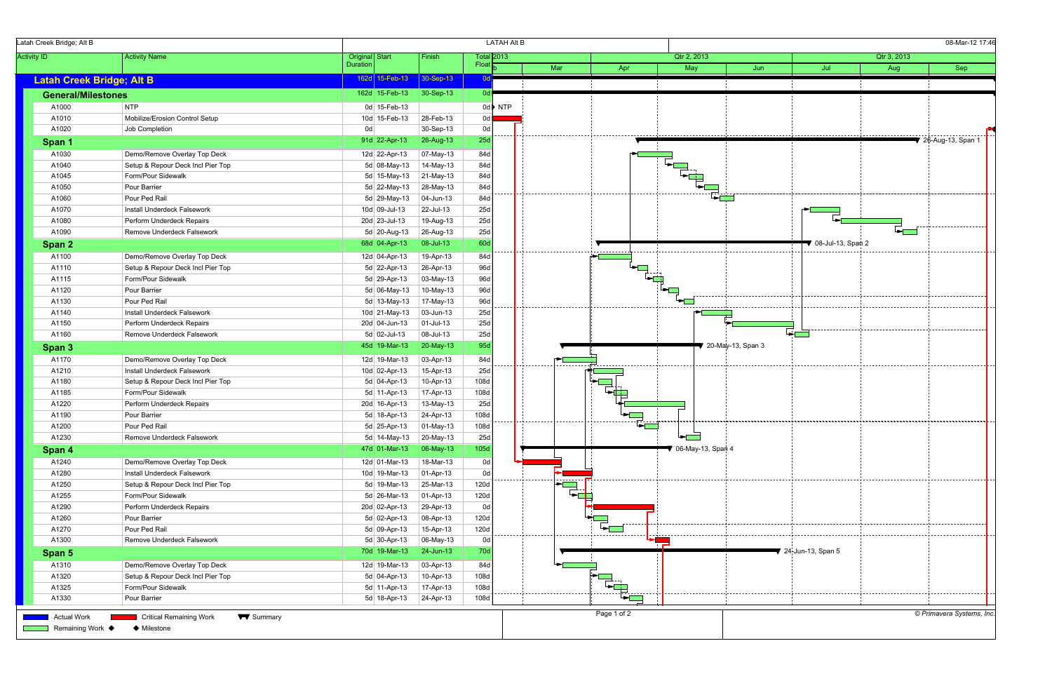| Latah Creek Bridge; Alt B        |                                                    |                 |                 |                 |              | <b>LATAH Alt B</b> |            |             |                     |                     |                     |             | 08-Mar-12 17:46                        |  |
|----------------------------------|----------------------------------------------------|-----------------|-----------------|-----------------|--------------|--------------------|------------|-------------|---------------------|---------------------|---------------------|-------------|----------------------------------------|--|
| <b>Activity ID</b>               | <b>Activity Name</b>                               | Original Start  |                 | Finish          |              | <b>Total 2013</b>  |            |             | Qtr 2, 2013         |                     |                     | Qtr 3, 2013 |                                        |  |
|                                  |                                                    | <b>Duration</b> |                 |                 | <b>Float</b> |                    | Mar        | Apr         | May                 | Jun                 | Jul                 | Aug         | Sep                                    |  |
| <b>Latah Creek Bridge; Alt B</b> |                                                    |                 | 162d 15-Feb-13  | 30-Sep-13       | 0dl          |                    |            |             |                     |                     |                     |             |                                        |  |
| <b>General/Milestones</b>        |                                                    |                 | 162d 15-Feb-13  | $30-Sep-13$     | ∣ 0d r       |                    |            |             |                     |                     |                     |             |                                        |  |
| A1000                            | NTP                                                |                 | 0d 15-Feb-13    |                 |              | $0d$ NTP           |            |             |                     |                     |                     |             |                                        |  |
| A1010                            | Mobilize/Erosion Control Setup                     |                 | 10d 15-Feb-13   | 28-Feb-13       | 0d           |                    |            |             |                     |                     |                     |             |                                        |  |
| A1020                            | Job Completion                                     | 0d              |                 | 30-Sep-13       | 0d           |                    |            |             |                     |                     |                     |             |                                        |  |
| Span 1                           |                                                    |                 | 91d 22-Apr-13   | 26-Aug-13       | 25d          |                    |            |             |                     |                     |                     |             | $\blacktriangledown$ 26-Aug-13, Span 1 |  |
| A1030                            | Demo/Remove Overlay Top Deck                       |                 | 12d 22-Apr-13   | 07-May-13       | 84d          |                    |            |             |                     |                     |                     |             |                                        |  |
| A1040                            | Setup & Repour Deck Incl Pier Top                  |                 | 5d 08-May-13    | 14-May-13       | 84d          |                    |            |             |                     |                     |                     |             |                                        |  |
| A1045                            | Form/Pour Sidewalk                                 |                 | 5d 15-May-13    | 21-May-13       | 84d          |                    |            |             |                     |                     |                     |             |                                        |  |
| A1050                            | Pour Barrier                                       |                 | 5d 22-May-13    | 28-May-13       | 84d          |                    |            |             |                     |                     |                     |             |                                        |  |
| A1060                            | Pour Ped Rail                                      |                 | 5d 29-May-13    | $ 04 - Jun-13 $ | 84d          |                    |            |             |                     |                     |                     |             |                                        |  |
| A1070                            | Install Underdeck Falsework                        |                 | $10d$ 09-Jul-13 | 22-Jul-13       | 25d          |                    |            |             |                     |                     |                     |             |                                        |  |
| A1080                            | Perform Underdeck Repairs                          |                 | 20d 23-Jul-13   | 19-Aug-13       | 25d          |                    |            |             |                     |                     |                     |             | . <b>.</b> .                           |  |
| A1090                            | Remove Underdeck Falsework                         |                 | 5d 20-Aug-13    | 26-Aug-13       | 25d          |                    |            |             |                     |                     |                     |             |                                        |  |
| Span 2                           |                                                    |                 | 68d 04-Apr-13   | 08-Jul-13       | 60d          |                    |            |             |                     |                     | 08-Jul-13, Span 2   |             |                                        |  |
| A1100                            | Demo/Remove Overlay Top Deck                       |                 | 12d 04-Apr-13   | 19-Apr-13       | 84d          |                    |            | .           |                     |                     |                     |             |                                        |  |
| A1110                            | Setup & Repour Deck Incl Pier Top                  |                 | 5d 22-Apr-13    | 26-Apr-13       | 96d          |                    |            |             |                     |                     |                     |             |                                        |  |
| A1115                            | Form/Pour Sidewalk                                 |                 | 5d 29-Apr-13    | 03-May-13       | 96d          |                    |            |             |                     |                     |                     |             |                                        |  |
| A1120                            | Pour Barrier                                       |                 | 5d 06-May-13    | 10-May-13       | 96d          |                    |            |             |                     |                     |                     |             |                                        |  |
| A1130                            | Pour Ped Rail                                      |                 | $5d$ 13-May-13  | 17-May-13       | 96d          |                    |            |             |                     |                     |                     |             |                                        |  |
| A1140                            | Install Underdeck Falsework                        |                 | 10d 21-May-13   | $ 03 - Jun-13 $ | 25d          |                    |            |             |                     |                     |                     |             |                                        |  |
| A1150                            | Perform Underdeck Repairs                          |                 | 20d 04-Jun-13   | $ 01 -$ Jul-13  | 25d          |                    |            |             |                     |                     |                     |             |                                        |  |
| A1160                            | Remove Underdeck Falsework                         |                 | 5d 02-Jul-13    | 08-Jul-13       | 25d          |                    |            |             |                     |                     |                     |             |                                        |  |
| Span 3                           |                                                    |                 | 45d 19-Mar-13   | 20-May-13       | 95d          |                    |            |             |                     | ₹ 20-May-13, Span 3 |                     |             |                                        |  |
| A1170                            | Demo/Remove Overlay Top Deck                       |                 | 12d 19-Mar-13   | 03-Apr-13       | 84d          |                    |            |             |                     |                     |                     |             |                                        |  |
| A1210                            | Install Underdeck Falsework                        |                 | 10d 02-Apr-13   | 15-Apr-13       | 25d          |                    |            |             |                     |                     |                     |             |                                        |  |
| A1180                            | Setup & Repour Deck Incl Pier Top                  |                 | 5d 04-Apr-13    | 10-Apr-13       | 108d         |                    |            |             |                     |                     |                     |             |                                        |  |
| A1185                            | Form/Pour Sidewalk                                 |                 | 5d 11-Apr-13    | 17-Apr-13       | 108d         |                    |            |             |                     |                     |                     |             |                                        |  |
| A1220                            | Perform Underdeck Repairs                          |                 | 20d 16-Apr-13   | 13-May-13       | 25d          |                    |            |             |                     |                     |                     |             |                                        |  |
| A1190                            | Pour Barrier                                       |                 | 5d 18-Apr-13    | $24-Apr-13$     | 108d         |                    |            |             |                     |                     |                     |             |                                        |  |
| A1200                            | Pour Ped Rail                                      |                 | $5d$ 25-Apr-13  | $ 01-May-13 $   | 108d         |                    |            |             |                     |                     |                     |             |                                        |  |
| A1230                            | Remove Underdeck Falsework                         |                 | 5d 14-May-13    | 20-May-13       | 25d          |                    |            |             |                     |                     |                     |             |                                        |  |
| Span 4                           |                                                    |                 | 47d 01-Mar-13   | 06-May-13       | 105d         |                    |            |             | ● 06-May-13, Span 4 |                     |                     |             |                                        |  |
| A1240                            | Demo/Remove Overlay Top Deck                       |                 | 12d 01-Mar-13   | 18-Mar-13       | 0d           |                    |            |             |                     |                     |                     |             |                                        |  |
| A1280                            | Install Underdeck Falsework                        |                 | 10d 19-Mar-13   | $ 01-Apr-13 $   | 0d           |                    |            |             |                     |                     |                     |             |                                        |  |
| A1250                            | Setup & Repour Deck Incl Pier Top                  |                 | 5d 19-Mar-13    | 25-Mar-13       | 120d         |                    | <u> 국내</u> |             |                     |                     |                     |             |                                        |  |
| A1255                            | Form/Pour Sidewalk                                 |                 | 5d 26-Mar-13    | $ 01-Apr-13 $   | 120d         |                    |            |             |                     |                     |                     |             |                                        |  |
| A1290                            | Perform Underdeck Repairs                          |                 | 20d 02-Apr-13   | 29-Apr-13       | 0d           |                    |            |             |                     |                     |                     |             |                                        |  |
| A1260                            | Pour Barrier                                       |                 | 5d 02-Apr-13    | 08-Apr-13       | 120d         |                    |            |             |                     |                     |                     |             |                                        |  |
| A1270                            | Pour Ped Rail                                      |                 | 5d 09-Apr-13    | 15-Apr-13       | 120d         |                    |            |             |                     |                     |                     |             |                                        |  |
| A1300                            | Remove Underdeck Falsework                         |                 | 5d 30-Apr-13    | 06-May-13       | 0d           |                    |            |             |                     |                     |                     |             |                                        |  |
| Span 5                           |                                                    |                 | 70d 19-Mar-13   | $24$ -Jun-13    | 70d          |                    |            |             |                     |                     | ₹ 24-Jun-13, Span 5 |             |                                        |  |
| A1310                            | Demo/Remove Overlay Top Deck                       |                 | 12d 19-Mar-13   | $ 03 - Apr-13 $ | 84d          |                    |            |             |                     |                     |                     |             |                                        |  |
| A1320                            | Setup & Repour Deck Incl Pier Top                  |                 | 5d 04-Apr-13    | 10-Apr-13       | 108d         |                    |            |             |                     |                     |                     |             |                                        |  |
| A1325                            | Form/Pour Sidewalk                                 |                 | 5d 11-Apr-13    | 17-Apr-13       | 108d         |                    |            |             |                     |                     |                     |             |                                        |  |
| A1330                            | Pour Barrier                                       |                 | 5d 18-Apr-13    | $24-Apr-13$     | 108d         |                    |            |             |                     |                     |                     |             |                                        |  |
| <b>Actual Work</b>               | <b>Critical Remaining Work</b><br><b>W</b> Summary |                 |                 |                 |              |                    |            | Page 1 of 2 |                     |                     |                     |             | © Primavera Systems, Inc.              |  |
| Remaining Work ♦                 | ♦ Milestone                                        |                 |                 |                 |              |                    |            |             |                     |                     |                     |             |                                        |  |
|                                  |                                                    |                 |                 |                 |              |                    |            |             |                     |                     |                     |             |                                        |  |

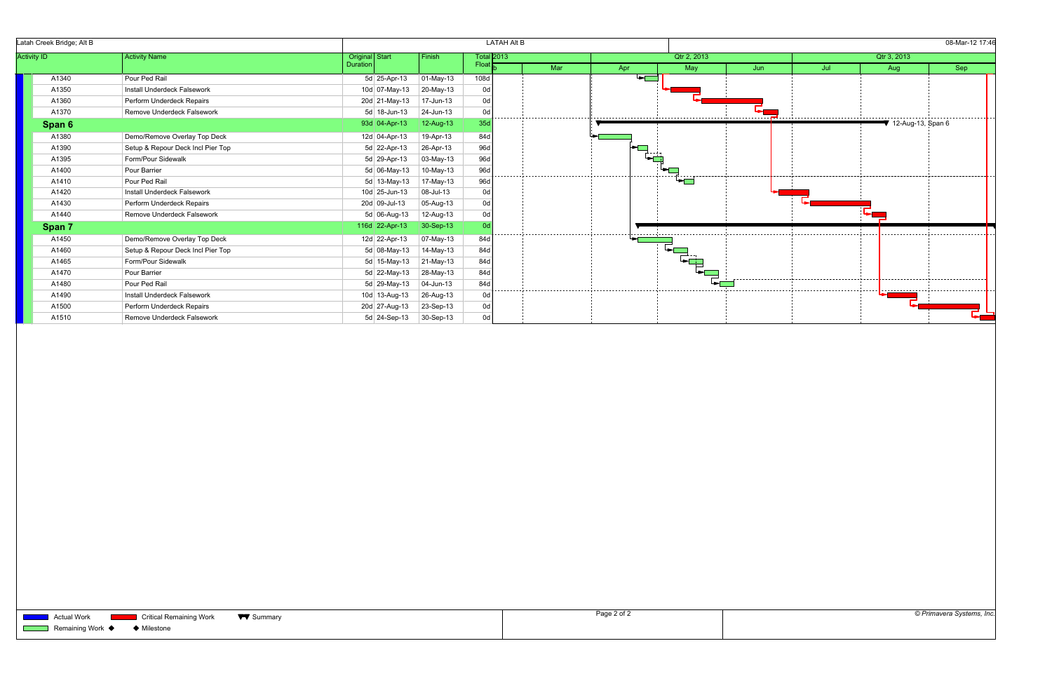| Latah Creek Bridge; Alt B                  |                                   |                       | <b>LATAH Alt B</b> |                   |     | 08-Mar-12 17:46 |                                                                                                                                                                                                                                                                                                                                               |      |     |                     |     |  |  |  |  |
|--------------------------------------------|-----------------------------------|-----------------------|--------------------|-------------------|-----|-----------------|-----------------------------------------------------------------------------------------------------------------------------------------------------------------------------------------------------------------------------------------------------------------------------------------------------------------------------------------------|------|-----|---------------------|-----|--|--|--|--|
| <b>Activity ID</b><br><b>Activity Name</b> |                                   | <b>Original</b> Start | Finish             | <b>Total 2013</b> |     |                 | Qtr 2, 2013                                                                                                                                                                                                                                                                                                                                   |      |     | Qtr 3, 2013         |     |  |  |  |  |
|                                            |                                   | Duration              |                    | Float             | Mar | Apr             | May                                                                                                                                                                                                                                                                                                                                           | Jun. | Jul | Aug                 | Sep |  |  |  |  |
| A1340                                      | Pour Ped Rail                     | 5d 25-Apr-13          | $ 01-May-13 $      | 108d              |     | ⋤               |                                                                                                                                                                                                                                                                                                                                               |      |     |                     |     |  |  |  |  |
| A1350                                      | Install Underdeck Falsework       | 10d 07-May-13         | 20-May-13          | 0d                |     |                 |                                                                                                                                                                                                                                                                                                                                               |      |     |                     |     |  |  |  |  |
| A1360                                      | Perform Underdeck Repairs         | 20d 21-May-13         | 17-Jun-13          | 0d                |     |                 |                                                                                                                                                                                                                                                                                                                                               |      |     |                     |     |  |  |  |  |
| A1370                                      | Remove Underdeck Falsework        | $5d$ 18-Jun-13        | 24-Jun-13          | 0d                |     |                 |                                                                                                                                                                                                                                                                                                                                               |      |     |                     |     |  |  |  |  |
| Span 6                                     |                                   | 93d 04-Apr-13         | 12-Aug-13          | 35d               |     |                 |                                                                                                                                                                                                                                                                                                                                               |      |     | ₹ 12-Aug-13, Span 6 |     |  |  |  |  |
| A1380                                      | Demo/Remove Overlay Top Deck      | 12d 04-Apr-13         | 19-Apr-13          | 84d               |     |                 |                                                                                                                                                                                                                                                                                                                                               |      |     |                     |     |  |  |  |  |
| A1390                                      | Setup & Repour Deck Incl Pier Top | 5d 22-Apr-13          | 26-Apr-13          | 96d               |     |                 |                                                                                                                                                                                                                                                                                                                                               |      |     |                     |     |  |  |  |  |
| A1395                                      | Form/Pour Sidewalk                | 5d 29-Apr-13          | 03-May-13          | 96d               |     |                 |                                                                                                                                                                                                                                                                                                                                               |      |     |                     |     |  |  |  |  |
| A1400                                      | Pour Barrier                      | 5d 06-May-13          | 10-May-13          | 96d               |     |                 |                                                                                                                                                                                                                                                                                                                                               |      |     |                     |     |  |  |  |  |
| A1410                                      | Pour Ped Rail                     | $5d$ 13-May-13        | 17-May-13          | 96d               |     |                 |                                                                                                                                                                                                                                                                                                                                               |      |     |                     |     |  |  |  |  |
| A1420                                      | Install Underdeck Falsework       | 10d 25-Jun-13         | 08-Jul-13          | 0d                |     |                 |                                                                                                                                                                                                                                                                                                                                               |      |     |                     |     |  |  |  |  |
| A1430                                      | Perform Underdeck Repairs         | 20d 09-Jul-13         | 05-Aug-13          | 0d                |     |                 |                                                                                                                                                                                                                                                                                                                                               |      |     |                     |     |  |  |  |  |
| A1440                                      | Remove Underdeck Falsework        | 5d 06-Aug-13          | 12-Aug-13          | 0d                |     |                 |                                                                                                                                                                                                                                                                                                                                               |      |     |                     |     |  |  |  |  |
| Span 7                                     |                                   | 116d 22-Apr-13        | 30-Sep-13          |                   |     |                 |                                                                                                                                                                                                                                                                                                                                               |      |     |                     |     |  |  |  |  |
| A1450                                      | Demo/Remove Overlay Top Deck      | 12d 22-Apr-13         | 07-May-13          | 84d               |     |                 | ------------------------------                                                                                                                                                                                                                                                                                                                |      |     |                     |     |  |  |  |  |
| A1460                                      | Setup & Repour Deck Incl Pier Top | 5d 08-May-13          | 14-May-13          | 84d               |     |                 | $\begin{picture}(20,20) \put(0,0){\line(1,0){155}} \put(15,0){\line(1,0){155}} \put(15,0){\line(1,0){155}} \put(15,0){\line(1,0){155}} \put(15,0){\line(1,0){155}} \put(15,0){\line(1,0){155}} \put(15,0){\line(1,0){155}} \put(15,0){\line(1,0){155}} \put(15,0){\line(1,0){155}} \put(15,0){\line(1,0){155}} \put(15,0){\line(1,0){155}} \$ |      |     |                     |     |  |  |  |  |
| A1465                                      | Form/Pour Sidewalk                | 5d 15-May-13          | 21-May-13          | 84d               |     |                 |                                                                                                                                                                                                                                                                                                                                               |      |     |                     |     |  |  |  |  |
| A1470                                      | Pour Barrier                      | 5d 22-May-13          | 28-May-13          | 84d               |     |                 |                                                                                                                                                                                                                                                                                                                                               |      |     |                     |     |  |  |  |  |
| A1480                                      | Pour Ped Rail                     | 5d 29-May-13          | 04-Jun-13          | 84d               |     |                 |                                                                                                                                                                                                                                                                                                                                               |      |     |                     |     |  |  |  |  |
| A1490                                      | Install Underdeck Falsework       | 10d 13-Aug-13         | 26-Aug-13          | 0d                |     |                 |                                                                                                                                                                                                                                                                                                                                               |      |     |                     |     |  |  |  |  |
| A1500                                      | Perform Underdeck Repairs         | 20d 27-Aug-13         | 23-Sep-13          | 0d                |     |                 |                                                                                                                                                                                                                                                                                                                                               |      |     |                     |     |  |  |  |  |
| A1510                                      | Remove Underdeck Falsework        | 5d 24-Sep-13          | 30-Sep-13          | h0                |     |                 |                                                                                                                                                                                                                                                                                                                                               |      |     |                     |     |  |  |  |  |

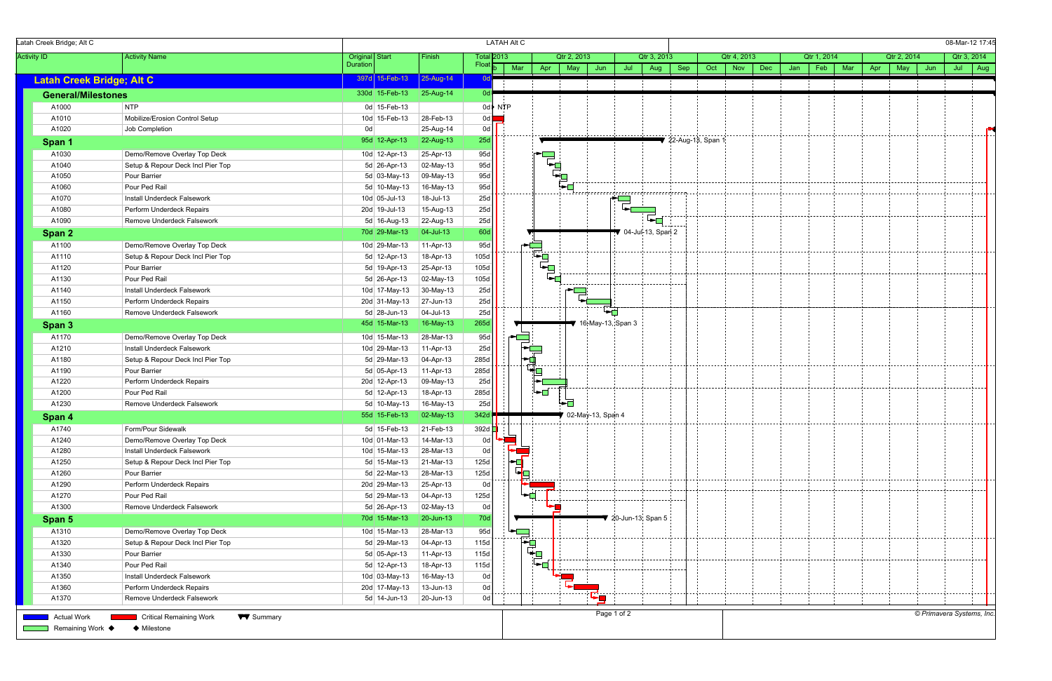| Latah Creek Bridge; Alt C              |                                                                   |                                |                        |                   | <b>LATAH Alt C</b> |                          |             |                     |             |                                        |     |                     |                          |     |             |     |     |             |                           | 08-Mar-12 17:45 |  |
|----------------------------------------|-------------------------------------------------------------------|--------------------------------|------------------------|-------------------|--------------------|--------------------------|-------------|---------------------|-------------|----------------------------------------|-----|---------------------|--------------------------|-----|-------------|-----|-----|-------------|---------------------------|-----------------|--|
| <b>Activity ID</b>                     | <b>Activity Name</b>                                              | Original Start                 | Finish                 |                   | Total 2013         |                          | Qtr 2, 2013 |                     |             | Qtr 3, 2013                            |     |                     | Qtr 4, 2013              |     | Qtr 1, 2014 |     |     | Qtr 2, 2014 |                           | Qtr 3, 2014     |  |
|                                        |                                                                   | Duration                       |                        | Float             | Mar                | Apr                      | May         | Jun                 | Jul         | Aug                                    | Sep | Oct                 | <b>Dec</b><br><b>Nov</b> | Jan | Feb         | Mar | Apr | May         | Jun                       | Jul $\vert$ Aug |  |
| <b>Latah Creek Bridge; Alt C</b>       |                                                                   | 397d 15-Feb-13                 | 25-Aug-14              |                   |                    |                          |             |                     |             |                                        |     |                     |                          |     |             |     |     |             |                           |                 |  |
| <b>General/Milestones</b>              |                                                                   | 330d 15-Feb-13                 | $25-Aug-14$            | Od <b>l</b>       |                    |                          |             |                     |             |                                        |     |                     |                          |     |             |     |     |             |                           |                 |  |
| A1000                                  | <b>NTP</b>                                                        | 0d 15-Feb-13                   |                        |                   | 0d NTP             |                          |             |                     |             |                                        |     |                     |                          |     |             |     |     |             |                           |                 |  |
| A1010                                  | Mobilize/Erosion Control Setup                                    | 10d 15-Feb-13                  | 28-Feb-13              | 0d $\blacksquare$ |                    |                          |             |                     |             |                                        |     |                     |                          |     |             |     |     |             |                           |                 |  |
| A1020                                  | Job Completion                                                    | 0d                             | 25-Aug-14              | 0d                |                    |                          |             |                     |             |                                        |     |                     |                          |     |             |     |     |             |                           |                 |  |
| Span 1                                 |                                                                   | 95d 12-Apr-13                  | 22-Aug-13              | 25d               |                    |                          |             |                     |             |                                        |     | ▼ 22-Aug-13, Span 1 |                          |     |             |     |     |             |                           |                 |  |
| A1030                                  | Demo/Remove Overlay Top Deck                                      | 10d 12-Apr-13                  | 25-Apr-13              | 95d               |                    |                          |             |                     |             |                                        |     |                     |                          |     |             |     |     |             |                           |                 |  |
| A1040                                  | Setup & Repour Deck Incl Pier Top                                 | 5d 26-Apr-13                   | 02-May-13              | 95d               |                    | ر<br>چ                   |             |                     |             |                                        |     |                     |                          |     |             |     |     |             |                           |                 |  |
| A1050                                  | Pour Barrier                                                      | $5d$ 03-May-13                 | 09-May-13              | 95d               |                    |                          | ┕┓          |                     |             |                                        |     |                     |                          |     |             |     |     |             |                           |                 |  |
| A1060                                  | Pour Ped Rail                                                     | 5d 10-May-13                   | 16-May-13              | 95d               |                    |                          |             |                     |             |                                        |     |                     |                          |     |             |     |     |             |                           |                 |  |
| A1070                                  | Install Underdeck Falsework                                       | 10d 05-Jul-13                  | 18-Jul-13              | 25d               |                    |                          |             |                     |             | ,,,,,,,,,,,,,,,,,,,,,,,,,,,,,,,,,,,,   |     |                     |                          |     |             |     |     |             |                           |                 |  |
| A1080                                  | Perform Underdeck Repairs                                         | 20d 19-Jul-13                  | 15-Aug-13              | 25d               |                    |                          |             |                     |             |                                        |     |                     |                          |     |             |     |     |             |                           |                 |  |
| A1090                                  | Remove Underdeck Falsework                                        | 5d 16-Aug-13                   | 22-Aug-13              | 25d               |                    |                          |             |                     |             | 'का                                    |     |                     |                          |     |             |     |     |             |                           |                 |  |
| Span 2                                 |                                                                   | 70d 29-Mar-13                  | $ 04 -$ Jul-13         | 60d               |                    |                          |             |                     |             | 04-Jul-13, Span 2                      |     |                     |                          |     |             |     |     |             |                           |                 |  |
| A1100                                  | Demo/Remove Overlay Top Deck                                      | 10d 29-Mar-13                  | 11-Apr-13              | 95d               |                    |                          |             |                     |             |                                        |     |                     |                          |     |             |     |     |             |                           |                 |  |
| A1110                                  | Setup & Repour Deck Incl Pier Top                                 | 5d 12-Apr-13                   | 18-Apr-13              | 105d              |                    |                          |             |                     |             |                                        |     |                     |                          |     |             |     |     |             |                           |                 |  |
| A1120                                  | Pour Barrier                                                      | 5d 19-Apr-13                   | 25-Apr-13              | 105d              |                    |                          |             |                     |             |                                        |     |                     |                          |     |             |     |     |             |                           |                 |  |
| A1130                                  | Pour Ped Rail                                                     | 5d 26-Apr-13                   | 02-May-13              | 105d              |                    |                          |             | .                   |             | ddd                                    |     |                     |                          |     |             |     |     |             |                           |                 |  |
| A1140                                  | Install Underdeck Falsework                                       | 10d 17-May-13                  | 30-May-13              | 25d               |                    |                          |             | .                   |             |                                        |     |                     |                          |     |             |     |     |             |                           |                 |  |
| A1150                                  | Perform Underdeck Repairs                                         | 20d 31-May-13                  | $27$ -Jun-13           | 25d               |                    |                          |             |                     |             |                                        |     |                     |                          |     |             |     |     |             |                           |                 |  |
| A1160                                  | Remove Underdeck Falsework                                        | 5d 28-Jun-13                   | $ 04 -$ Jul-13         | 25d               |                    |                          |             |                     | C.          | --------------------                   |     |                     |                          |     |             |     |     |             |                           |                 |  |
| Span 3                                 |                                                                   | 45d 15-Mar-13                  | 16-May-13              | 265d              |                    |                          |             | 16-May-13, Span 3   |             |                                        |     |                     |                          |     |             |     |     |             |                           |                 |  |
| A1170                                  | Demo/Remove Overlay Top Deck                                      | 10d 15-Mar-13                  | 28-Mar-13              | 95d               |                    |                          |             |                     |             |                                        |     |                     |                          |     |             |     |     |             |                           |                 |  |
| A1210                                  | Install Underdeck Falsework                                       | 10d 29-Mar-13                  | 11-Apr-13              | 25d               |                    |                          |             |                     |             |                                        |     |                     |                          |     |             |     |     |             |                           |                 |  |
| A1180                                  | Setup & Repour Deck Incl Pier Top                                 | 5d 29-Mar-13                   | 04-Apr-13              | 285d              |                    | $\frac{1}{\sqrt{2}}$     |             |                     |             |                                        |     |                     |                          |     |             |     |     |             |                           |                 |  |
| A1190                                  | Pour Barrier                                                      | 5d 05-Apr-13                   | 11-Apr-13              | 285d              |                    | └ <del>₫</del>           |             |                     |             |                                        |     |                     |                          |     |             |     |     |             |                           |                 |  |
| A1220                                  | Perform Underdeck Repairs                                         | 20d 12-Apr-13                  | 09-May-13              | 25d               |                    |                          |             |                     |             |                                        |     |                     |                          |     |             |     |     |             |                           |                 |  |
| A1200                                  | Pour Ped Rail                                                     | 5d 12-Apr-13                   | 18-Apr-13              | 285d              |                    | $\overline{\phantom{a}}$ |             |                     |             |                                        |     |                     |                          |     |             |     |     |             |                           |                 |  |
| A1230                                  | Remove Underdeck Falsework                                        | $5d$ 10-May-13                 | 16-May-13              | 25d               |                    |                          | ┕┲          |                     |             |                                        |     |                     |                          |     |             |     |     |             |                           |                 |  |
| Span 4                                 |                                                                   | 55d 15-Feb-13                  | 02-May-13              | 342d              |                    |                          |             | ● 02-May-13, Span 4 |             |                                        |     |                     |                          |     |             |     |     |             |                           |                 |  |
| A1740                                  | Form/Pour Sidewalk                                                | 5d $15$ -Feb-13                | $21$ -Feb-13           | 392d <b>I</b>     |                    |                          |             |                     |             |                                        |     |                     |                          |     |             |     |     |             |                           |                 |  |
| A1240                                  | Demo/Remove Overlay Top Deck                                      | 10d 01-Mar-13                  | 14-Mar-13              | 0d                |                    |                          |             |                     |             |                                        |     |                     |                          |     |             |     |     |             |                           |                 |  |
| A1280                                  | Install Underdeck Falsework                                       | 10d 15-Mar-13                  | 28-Mar-13              | 0d                |                    |                          |             |                     |             |                                        |     |                     |                          |     |             |     |     |             |                           |                 |  |
| A1250                                  | Setup & Repour Deck Incl Pier Top                                 | 5d 15-Mar-13                   | 21-Mar-13              | 125d              | -0                 |                          |             |                     |             |                                        |     |                     |                          |     |             |     |     |             |                           |                 |  |
| A1260                                  | Pour Barrier                                                      | 5d 22-Mar-13                   | 28-Mar-13              | 125d              |                    |                          |             |                     |             |                                        |     |                     |                          |     |             |     |     |             |                           |                 |  |
| A1290                                  | Perform Underdeck Repairs                                         | 20d 29-Mar-13                  | 25-Apr-13              | 0d                |                    |                          |             |                     |             |                                        |     |                     |                          |     |             |     |     |             |                           |                 |  |
| A1270                                  | Pour Ped Rail                                                     | $5d$ 29-Mar-13                 | $ 04 - Apr-13 $        | 125d              |                    |                          |             |                     |             |                                        |     |                     |                          |     |             |     |     |             |                           |                 |  |
| A1300                                  | Remove Underdeck Falsework                                        | 5d 26-Apr-13                   | 02-May-13              | 0d                |                    |                          |             |                     |             |                                        |     |                     |                          |     |             |     |     |             |                           |                 |  |
| Span 5                                 |                                                                   | 70d 15-Mar-13                  | 20-Jun-13              | <b>70d</b>        |                    |                          |             |                     |             | $\blacktriangledown$ 20-Jun-13, Span 5 |     |                     |                          |     |             |     |     |             |                           |                 |  |
|                                        |                                                                   |                                |                        |                   |                    |                          |             |                     |             |                                        |     |                     |                          |     |             |     |     |             |                           |                 |  |
| A1310                                  | Demo/Remove Overlay Top Deck                                      | 10d 15-Mar-13                  | 28-Mar-13              | 95d               |                    |                          |             |                     |             |                                        |     |                     |                          |     |             |     |     |             |                           |                 |  |
| A1320                                  | Setup & Repour Deck Incl Pier Top                                 | $5d$ 29-Mar-13                 | $04 - Apr - 13$        | 115d              |                    | ┝╼ <mark>┪</mark><br>└┿█ |             |                     |             |                                        |     |                     |                          |     |             |     |     |             |                           |                 |  |
| A1330                                  | Pour Barrier                                                      | 5d 05-Apr-13                   | 11-Apr-13              | 115d              |                    |                          |             |                     |             |                                        |     |                     |                          |     |             |     |     |             |                           |                 |  |
| A1340                                  | Pour Ped Rail                                                     | 5d 12-Apr-13                   | 18-Apr-13              | 115d              |                    |                          |             |                     |             |                                        |     |                     |                          |     |             |     |     |             |                           |                 |  |
| A1350<br>A1360                         | Install Underdeck Falsework<br>Perform Underdeck Repairs          | 10d 03-May-13<br>20d 17-May-13 | 16-May-13<br>13-Jun-13 | 0d<br>0d          |                    |                          |             |                     |             |                                        |     |                     |                          |     |             |     |     |             |                           |                 |  |
|                                        |                                                                   |                                |                        |                   |                    |                          |             |                     |             |                                        |     |                     |                          |     |             |     |     |             |                           |                 |  |
| A1370                                  | Remove Underdeck Falsework                                        | $5d$ 14-Jun-13                 | 20-Jun-13              | 0d                |                    |                          |             | ┗▅                  |             |                                        |     |                     |                          |     |             |     |     |             |                           |                 |  |
| <b>Actual Work</b><br>Remaining Work ♦ | <b>W</b> Summary<br><b>Critical Remaining Work</b><br>♦ Milestone |                                |                        |                   |                    |                          |             |                     | Page 1 of 2 |                                        |     |                     |                          |     |             |     |     |             | © Primavera Systems, Inc. |                 |  |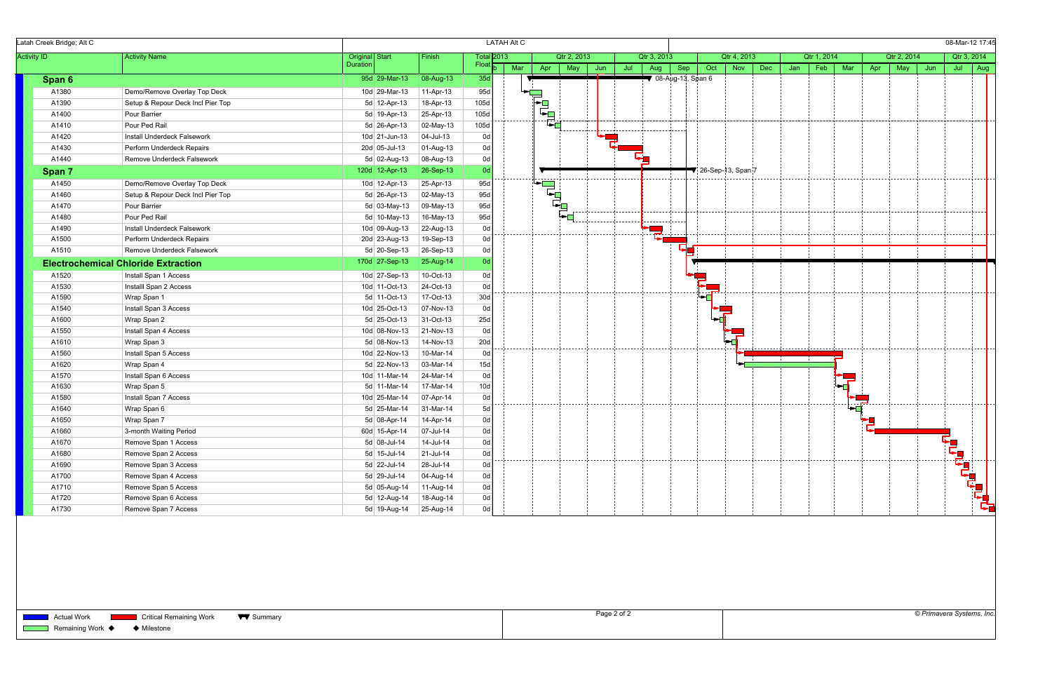| Latah Creek Bridge; Alt C<br><b>Activity ID</b><br><b>Activity Name</b> |                                            |                 |                |                   | <b>LATAH Alt C</b> |                                                                                     |             |     |     |                                        |     |     |                                        |     |     |                  |                         |     |             |     | 08-Mar-12 17:45         |                 |  |
|-------------------------------------------------------------------------|--------------------------------------------|-----------------|----------------|-------------------|--------------------|-------------------------------------------------------------------------------------|-------------|-----|-----|----------------------------------------|-----|-----|----------------------------------------|-----|-----|------------------|-------------------------|-----|-------------|-----|-------------------------|-----------------|--|
|                                                                         |                                            | Original Start  | Finish         | <b>Total</b> 2013 |                    |                                                                                     | Qtr 2, 2013 |     |     | Qtr 3, 2013                            |     |     | Qtr 4, 2013                            |     |     | Qtr 1, 2014      |                         |     | Qtr 2, 2014 |     |                         | Qtr 3, 2014     |  |
|                                                                         |                                            | Duration        |                | Float             | Mar                | Apr                                                                                 | May         | Jun | Jul | Aug                                    | Sep | Oct | Nov                                    | Dec | Jan | Feb              | Mar                     | Apr | May         | Jun |                         | Jul $\vert$ Aug |  |
| Span 6                                                                  |                                            | 95d 29-Mar-13   | 08-Aug-13      | 35d               |                    |                                                                                     |             |     |     | $\blacktriangledown$ 08-Aug-13, Span 6 |     |     |                                        |     |     |                  |                         |     |             |     |                         |                 |  |
| A1380                                                                   | Demo/Remove Overlay Top Deck               | 10d 29-Mar-13   | 11-Apr-13      | 95d               |                    |                                                                                     |             |     |     |                                        |     |     |                                        |     |     |                  |                         |     |             |     |                         |                 |  |
| A1390                                                                   | Setup & Repour Deck Incl Pier Top          | 5d 12-Apr-13    | 18-Apr-13      | 105d              |                    | $\begin{array}{c}\n\mathbf{1} & \mathbf{1} \\ \mathbf{1} & \mathbf{1}\n\end{array}$ |             |     |     |                                        |     |     |                                        |     |     |                  |                         |     |             |     |                         |                 |  |
| A1400                                                                   | Pour Barrier                               | 5d 19-Apr-13    | 25-Apr-13      | 105d              |                    |                                                                                     |             |     |     |                                        |     |     |                                        |     |     |                  |                         |     |             |     |                         |                 |  |
| A1410                                                                   | Pour Ped Rail                              | 5d 26-Apr-13    | 02-May-13      | 105d              |                    |                                                                                     |             |     |     |                                        |     |     |                                        |     |     |                  |                         |     |             |     |                         |                 |  |
| A1420                                                                   | Install Underdeck Falsework                | $10d$ 21-Jun-13 | 04-Jul-13      | 0d                |                    |                                                                                     |             |     |     |                                        |     |     |                                        |     |     |                  |                         |     |             |     |                         |                 |  |
| A1430                                                                   | Perform Underdeck Repairs                  | 20d 05-Jul-13   | 01-Aug-13      | 0d                |                    |                                                                                     |             |     |     |                                        |     |     |                                        |     |     |                  |                         |     |             |     |                         |                 |  |
| A1440                                                                   | Remove Underdeck Falsework                 | 5d 02-Aug-13    | 08-Aug-13      | 0d                |                    |                                                                                     |             |     |     |                                        |     |     |                                        |     |     |                  |                         |     |             |     |                         |                 |  |
| Span 7                                                                  |                                            | 120d 12-Apr-13  | 26-Sep-13      | 0d                |                    |                                                                                     |             |     |     |                                        |     |     | $\blacktriangledown$ 26-Sep-13, Span 7 |     |     |                  |                         |     |             |     |                         |                 |  |
| A1450                                                                   | Demo/Remove Overlay Top Deck               | 10d 12-Apr-13   | 25-Apr-13      | 95d               |                    |                                                                                     |             |     |     |                                        |     |     |                                        |     |     |                  |                         |     |             |     |                         |                 |  |
| A1460                                                                   | Setup & Repour Deck Incl Pier Top          | 5d 26-Apr-13    | 02-May-13      | 95d               |                    | $\begin{bmatrix} \mathbf{r} \\ \mathbf{r} \\ \mathbf{r} \end{bmatrix}$              |             |     |     |                                        |     |     |                                        |     |     |                  |                         |     |             |     |                         |                 |  |
| A1470                                                                   | Pour Barrier                               | $5d$ 03-May-13  | 09-May-13      | 95d               |                    |                                                                                     |             |     |     |                                        |     |     |                                        |     |     |                  |                         |     |             |     |                         |                 |  |
| A1480                                                                   | Pour Ped Rail                              | 5d 10-May-13    | 16-May-13      | 95d               |                    |                                                                                     | ►⊡          |     |     | --------- <del>-</del> --              |     |     |                                        |     |     |                  |                         |     |             |     |                         |                 |  |
| A1490                                                                   | Install Underdeck Falsework                | 10d 09-Aug-13   | 22-Aug-13      | 0d                |                    |                                                                                     |             |     |     |                                        |     |     |                                        |     |     |                  |                         |     |             |     |                         |                 |  |
| A1500                                                                   | Perform Underdeck Repairs                  | 20d 23-Aug-13   | 19-Sep-13      | 0d                |                    |                                                                                     |             |     |     |                                        |     |     |                                        |     |     |                  |                         |     |             |     |                         |                 |  |
| A1510                                                                   | Remove Underdeck Falsework                 | 5d $20$ -Sep-13 | $26-Sep-13$    | 0d                |                    |                                                                                     |             |     |     |                                        |     |     |                                        |     |     |                  |                         |     |             |     |                         |                 |  |
|                                                                         | <b>Electrochemical Chloride Extraction</b> | 170d 27-Sep-13  | $25-Aug-14$    | 0 <sub>d</sub>    |                    |                                                                                     |             |     |     |                                        |     |     |                                        |     |     |                  |                         |     |             |     |                         |                 |  |
| A1520                                                                   | Install Span 1 Access                      | 10d 27-Sep-13   | 10-Oct-13      | 0d                |                    |                                                                                     |             |     |     |                                        |     |     |                                        |     |     |                  |                         |     |             |     |                         |                 |  |
| A1530                                                                   | Installl Span 2 Access                     | 10d 11-Oct-13   | 24-Oct-13      | 0d                |                    |                                                                                     |             |     |     |                                        |     |     |                                        |     |     |                  |                         |     |             |     |                         |                 |  |
| A1590                                                                   | Wrap Span 1                                | 5d 11-Oct-13    | 17-Oct-13      | 30d               |                    |                                                                                     |             |     |     |                                        |     |     |                                        |     |     |                  |                         |     |             |     |                         |                 |  |
| A1540                                                                   | Install Span 3 Access                      | 10d 25-Oct-13   | 07-Nov-13      | 0d                |                    |                                                                                     |             |     |     |                                        |     |     |                                        |     |     |                  |                         |     |             |     |                         |                 |  |
| A1600                                                                   | Wrap Span 2                                | 5d 25-Oct-13    | $31$ -Oct-13   | 25d               |                    |                                                                                     |             |     |     |                                        |     |     |                                        |     |     |                  |                         |     |             |     |                         |                 |  |
| A1550                                                                   | Install Span 4 Access                      | 10d 08-Nov-13   | 21-Nov-13      | 0d                |                    |                                                                                     |             |     |     |                                        |     |     |                                        |     |     |                  |                         |     |             |     |                         |                 |  |
| A1610                                                                   | Wrap Span 3                                | 5d 08-Nov-13    | 14-Nov-13      | 20d               |                    |                                                                                     |             |     |     |                                        |     |     |                                        |     |     | --- <del>1</del> |                         |     |             |     |                         |                 |  |
| A1560                                                                   | Install Span 5 Access                      | 10d 22-Nov-13   | 10-Mar-14      | 0d                |                    |                                                                                     |             |     |     |                                        |     |     |                                        |     |     |                  |                         |     |             |     |                         |                 |  |
| A1620                                                                   | Wrap Span 4                                | 5d 22-Nov-13    | 03-Mar-14      | 15d               |                    |                                                                                     |             |     |     |                                        |     |     |                                        |     |     |                  |                         |     |             |     |                         |                 |  |
| A1570                                                                   | Install Span 6 Access                      | 10d 11-Mar-14   | 24-Mar-14      | 0d                |                    |                                                                                     |             |     |     |                                        |     |     |                                        |     |     |                  |                         |     |             |     |                         |                 |  |
| A1630                                                                   | Wrap Span 5                                | 5d 11-Mar-14    | 17-Mar-14      | 10d               |                    |                                                                                     |             |     |     |                                        |     |     |                                        |     |     |                  |                         |     |             |     |                         |                 |  |
| A1580                                                                   | Install Span 7 Access                      | 10d 25-Mar-14   | 07-Apr-14      | 0d                |                    |                                                                                     |             |     |     |                                        |     |     |                                        |     |     |                  |                         |     |             |     |                         |                 |  |
| A1640                                                                   | Wrap Span 6                                | 5d 25-Mar-14    | 31-Mar-14      | 5d                |                    |                                                                                     |             |     |     |                                        |     |     |                                        |     |     |                  | $\overline{\mathbf{d}}$ |     |             |     |                         |                 |  |
| A1650                                                                   | Wrap Span 7                                | 5d 08-Apr-14    | $ 14 - Apr-14$ | 0d                |                    |                                                                                     |             |     |     |                                        |     |     |                                        |     |     |                  |                         |     |             |     |                         |                 |  |
| A1660                                                                   | 3-month Waiting Period                     | 60d 15-Apr-14   | $ 07 -$ Jul-14 | 0d                |                    |                                                                                     |             |     |     |                                        |     |     |                                        |     |     |                  |                         |     |             |     |                         |                 |  |
| A1670                                                                   | Remove Span 1 Access                       | $5d$ 08-Jul-14  | 14-Jul-14      | 0d                |                    |                                                                                     |             |     |     |                                        |     |     |                                        |     |     |                  |                         |     |             |     |                         |                 |  |
| A1680                                                                   | Remove Span 2 Access                       | 5d 15-Jul-14    | $21$ -Jul-14   | 0d                |                    |                                                                                     |             |     |     |                                        |     |     |                                        |     |     |                  |                         |     |             |     |                         |                 |  |
| A1690                                                                   | Remove Span 3 Access                       | 5d 22-Jul-14    | 28-Jul-14      | 0d                |                    |                                                                                     |             |     |     |                                        |     |     |                                        |     |     |                  |                         |     |             |     |                         |                 |  |
| A1700                                                                   | Remove Span 4 Access                       | 5d 29-Jul-14    | 04-Aug-14      | 0d                |                    |                                                                                     |             |     |     |                                        |     |     |                                        |     |     |                  |                         |     |             |     |                         |                 |  |
| A1710                                                                   | Remove Span 5 Access                       | 5d 05-Aug-14    | 11-Aug-14      | 0d                |                    |                                                                                     |             |     |     |                                        |     |     |                                        |     |     |                  |                         |     |             |     |                         |                 |  |
| A1720                                                                   | Remove Span 6 Access                       | 5d 12-Aug-14    | 18-Aug-14      | 0d                |                    |                                                                                     |             |     |     |                                        |     |     |                                        |     |     |                  |                         |     |             |     | ▊▛▄<br>▛▟▌ <sup>▆</sup> |                 |  |
| A1730                                                                   | Remove Span 7 Access                       | 5d 19-Aug-14    | 25-Aug-14      | 0d                |                    |                                                                                     |             |     |     |                                        |     |     |                                        |     |     |                  |                         |     |             |     |                         |                 |  |

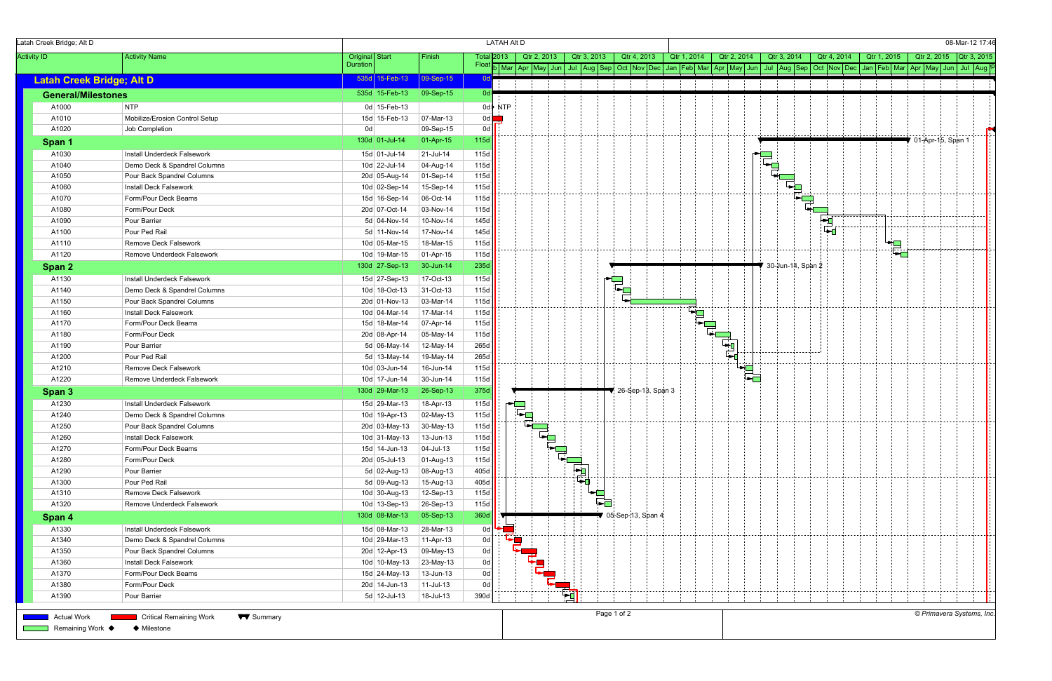| Latah Creek Bridge; Alt D        |                                                    |                |                 |               |       | <b>LATAH Alt D</b> |             |             |                   |                   |             |                                        |             |                   |             | 08-Mar-12 17:46                                                                                                                                                                 |
|----------------------------------|----------------------------------------------------|----------------|-----------------|---------------|-------|--------------------|-------------|-------------|-------------------|-------------------|-------------|----------------------------------------|-------------|-------------------|-------------|---------------------------------------------------------------------------------------------------------------------------------------------------------------------------------|
| <b>Activity ID</b>               | <b>Activity Name</b>                               | Original Start |                 | Finish        |       | Total <b>2</b> 013 | Qtr 2, 2013 | Qtr 3, 2013 | Qtr 4, 2013       |                   | Qtr 1, 2014 | Qtr 2, 2014                            | Qtr 3, 2014 | Qtr 4, 2014       | Qtr 1, 2015 | Qtr 2, 2015 Qtr 3, 2015                                                                                                                                                         |
|                                  |                                                    | Duration       |                 |               | Float |                    |             |             |                   |                   |             |                                        |             |                   |             | b Mar Apr May Jun   Jul   Aug Sep   Oct   Nov   Dec   Jan   Feb   Mar   Apr   May   Jun   Jul   Aug   Sep   Oct   Nov   Dec   Jan   Feb   Mar   Apr   May   Jun   Jul   Aug   P |
| <b>Latah Creek Bridge; Alt D</b> |                                                    |                | 535d 15-Feb-13  | 09-Sep-15     | 0dl   |                    |             |             |                   |                   |             |                                        |             |                   |             |                                                                                                                                                                                 |
| <b>General/Milestones</b>        |                                                    |                | 535d 15-Feb-13  | 09-Sep-15     | Od l  |                    |             |             |                   |                   |             |                                        |             |                   |             |                                                                                                                                                                                 |
| A1000                            | NTP                                                |                | 0d 15-Feb-13    |               |       | $0d$ NTP           |             |             |                   |                   |             |                                        |             |                   |             |                                                                                                                                                                                 |
| A1010                            | Mobilize/Erosion Control Setup                     |                | 15d 15-Feb-13   | 07-Mar-13     | 0d l  |                    |             |             |                   |                   |             |                                        |             |                   |             |                                                                                                                                                                                 |
| A1020                            | Job Completion                                     | 0d             |                 | 09-Sep-15     | 0d    |                    |             |             |                   |                   |             |                                        |             |                   |             |                                                                                                                                                                                 |
| Span 1                           |                                                    |                | 130d 01-Jul-14  | 01-Apr-15     | 115d  |                    |             |             |                   |                   |             |                                        |             |                   |             | ● 01-Apr-15, Span 1                                                                                                                                                             |
| A1030                            | Install Underdeck Falsework                        |                | 15d 01-Jul-14   | $21$ -Jul-14  | 115d  |                    |             |             |                   |                   |             |                                        |             |                   |             |                                                                                                                                                                                 |
| A1040                            | Demo Deck & Spandrel Columns                       |                | 10d 22-Jul-14   | 04-Aug-14     | 115d  |                    |             |             |                   |                   |             |                                        |             |                   |             |                                                                                                                                                                                 |
| A1050                            | Pour Back Spandrel Columns                         |                | 20d 05-Aug-14   | 01-Sep-14     | 115d  |                    |             |             |                   |                   |             |                                        |             |                   |             |                                                                                                                                                                                 |
| A1060                            | Install Deck Falsework                             |                | 10d 02-Sep-14   | 15-Sep-14     | 115d  |                    |             |             |                   |                   |             |                                        |             | Ŧ,                |             |                                                                                                                                                                                 |
| A1070                            | Form/Pour Deck Beams                               |                | 15d 16-Sep-14   | 06-Oct-14     | 115d  |                    |             |             |                   |                   |             |                                        |             |                   |             |                                                                                                                                                                                 |
| A1080                            | Form/Pour Deck                                     |                | 20d 07-Oct-14   | 03-Nov-14     | 115d  |                    |             |             |                   |                   |             |                                        |             |                   |             |                                                                                                                                                                                 |
| A1090                            | Pour Barrier                                       |                | 5d 04-Nov-14    | 10-Nov-14     | 145d  |                    |             |             |                   |                   |             |                                        |             | ┡╾┎               |             |                                                                                                                                                                                 |
| A1100                            | Pour Ped Rail                                      |                | 5d 11-Nov-14    | 17-Nov-14     | 145d  |                    |             |             |                   |                   |             |                                        |             | ⊩⊷                | .<br>.      |                                                                                                                                                                                 |
| A1110                            | Remove Deck Falsework                              |                | 10d 05-Mar-15   | 18-Mar-15     | 115d  |                    |             |             |                   |                   |             |                                        |             |                   |             |                                                                                                                                                                                 |
| A1120                            | Remove Underdeck Falsework                         |                | 10d 19-Mar-15   | 01-Apr-15     | 115d  |                    |             |             |                   |                   |             |                                        |             |                   | ▚▆<br>▝▛▆   |                                                                                                                                                                                 |
| Span 2                           |                                                    |                | 130d 27-Sep-13  | $30 - Jun-14$ | 235d  |                    |             |             |                   |                   |             |                                        |             | 30-Jun-14, Span 2 |             |                                                                                                                                                                                 |
| A1130                            | Install Underdeck Falsework                        |                | 15d 27-Sep-13   | 17-Oct-13     | 115d  |                    |             |             |                   |                   |             |                                        |             |                   |             |                                                                                                                                                                                 |
| A1140                            | Demo Deck & Spandrel Columns                       |                | 10d 18-Oct-13   | 31-Oct-13     | 115d  |                    |             |             | ę,                |                   |             |                                        |             |                   |             |                                                                                                                                                                                 |
| A1150                            | Pour Back Spandrel Columns                         |                | 20d 01-Nov-13   | 03-Mar-14     | 115d  |                    |             |             |                   |                   |             |                                        |             |                   |             |                                                                                                                                                                                 |
| A1160                            | Install Deck Falsework                             |                | 10d 04-Mar-14   | 17-Mar-14     | 115d  |                    |             |             |                   |                   |             |                                        |             |                   |             |                                                                                                                                                                                 |
| A1170                            | Form/Pour Deck Beams                               |                | 15d 18-Mar-14   | 07-Apr-14     | 115d  |                    |             |             |                   |                   |             |                                        |             |                   |             |                                                                                                                                                                                 |
| A1180                            | Form/Pour Deck                                     |                | 20d 08-Apr-14   | 05-May-14     | 115d  |                    |             |             |                   |                   |             |                                        |             |                   |             |                                                                                                                                                                                 |
| A1190                            | Pour Barrier                                       |                | 5d 06-May-14    | 12-May-14     | 265d  |                    |             |             |                   |                   |             | न<br>पुरमु                             |             |                   |             |                                                                                                                                                                                 |
| A1200                            | Pour Ped Rail                                      |                | 5d 13-May-14    | 19-May-14     | 265d  |                    |             |             |                   |                   |             |                                        |             |                   |             |                                                                                                                                                                                 |
| A1210                            | Remove Deck Falsework                              |                | $10d$ 03-Jun-14 | 16-Jun-14     | 115d  |                    |             |             |                   |                   |             |                                        |             |                   |             |                                                                                                                                                                                 |
| A1220                            | Remove Underdeck Falsework                         |                | 10d 17-Jun-14   | 30-Jun-14     | 115d  |                    |             |             |                   |                   |             | ॱ▙ <mark>▆</mark><br>▐▃ <mark>▅</mark> |             |                   |             |                                                                                                                                                                                 |
| Span 3                           |                                                    |                | 130d 29-Mar-13  | 26-Sep-13     | 375d  |                    |             |             |                   | 26-Sep-13, Span 3 |             |                                        |             |                   |             |                                                                                                                                                                                 |
| A1230                            | Install Underdeck Falsework                        |                | 15d 29-Mar-13   | 18-Apr-13     | 115d  |                    | ×.          |             |                   |                   |             |                                        |             |                   |             |                                                                                                                                                                                 |
| A1240                            | Demo Deck & Spandrel Columns                       |                | 10d 19-Apr-13   | 02-May-13     | 115d  |                    | ¦l⇒⊟        |             |                   |                   |             |                                        |             |                   |             |                                                                                                                                                                                 |
| A1250                            | Pour Back Spandrel Columns                         |                | 20d 03-May-13   | 30-May-13     | 115d  |                    |             |             |                   |                   |             |                                        |             |                   |             |                                                                                                                                                                                 |
| A1260                            | Install Deck Falsework                             |                | 10d 31-May-13   | 13-Jun-13     | 115d  |                    |             |             |                   |                   |             |                                        |             |                   |             |                                                                                                                                                                                 |
| A1270                            | Form/Pour Deck Beams                               |                | $15d$ 14-Jun-13 | 04-Jul-13     | 115d  |                    |             |             |                   |                   |             |                                        |             |                   |             |                                                                                                                                                                                 |
| A1280                            | Form/Pour Deck                                     |                | 20d 05-Jul-13   | 01-Aug-13     | 115d  |                    |             |             |                   |                   |             |                                        |             |                   |             |                                                                                                                                                                                 |
| A1290                            | Pour Barrier                                       |                | 5d 02-Aug-13    | 08-Aug-13     | 405d  |                    |             |             |                   |                   |             |                                        |             |                   |             |                                                                                                                                                                                 |
| A1300                            | Pour Ped Rail                                      |                | 5d 09-Aug-13    | 15-Aug-13     | 405d  |                    |             |             |                   |                   |             |                                        |             |                   |             |                                                                                                                                                                                 |
| A1310                            | Remove Deck Falsework                              |                | 10d 30-Aug-13   | 12-Sep-13     | 115d  |                    |             |             |                   |                   |             |                                        |             |                   |             |                                                                                                                                                                                 |
| A1320                            | Remove Underdeck Falsework                         |                | 10d 13-Sep-13   | 26-Sep-13     | 115d  |                    |             | Fa          |                   |                   |             |                                        |             |                   |             |                                                                                                                                                                                 |
| Span 4                           |                                                    |                | 130d 08-Mar-13  | 05-Sep-13     | 360d  |                    |             |             | 05-Sep-13, Span 4 |                   |             |                                        |             |                   |             |                                                                                                                                                                                 |
| A1330                            | Install Underdeck Falsework                        |                | 15d 08-Mar-13   | 28-Mar-13     | - Od  |                    |             |             |                   |                   |             |                                        |             |                   |             |                                                                                                                                                                                 |
| A1340                            | Demo Deck & Spandrel Columns                       |                | 10d 29-Mar-13   | 11-Apr-13     | 0d    |                    | T,          |             |                   |                   |             |                                        |             |                   |             |                                                                                                                                                                                 |
| A1350                            | Pour Back Spandrel Columns                         |                | 20d 12-Apr-13   | 09-May-13     | 0d    |                    |             |             |                   |                   |             |                                        |             |                   |             |                                                                                                                                                                                 |
| A1360                            | Install Deck Falsework                             |                | $10d$ 10-May-13 | 23-May-13     | 0d    |                    |             |             |                   |                   |             |                                        |             |                   |             |                                                                                                                                                                                 |
| A1370                            | Form/Pour Deck Beams                               |                | 15d 24-May-13   | 13-Jun-13     | 0d    |                    |             |             |                   |                   |             |                                        |             |                   |             |                                                                                                                                                                                 |
| A1380                            | Form/Pour Deck                                     |                | 20d 14-Jun-13   | 11-Jul-13     | 0d    |                    |             |             |                   |                   |             |                                        |             |                   |             |                                                                                                                                                                                 |
| A1390                            | Pour Barrier                                       |                | $5d$ 12-Jul-13  | 18-Jul-13     | 390d  |                    |             | न्न         |                   |                   |             |                                        |             |                   |             |                                                                                                                                                                                 |
|                                  |                                                    |                |                 |               |       |                    |             |             |                   |                   |             |                                        |             |                   |             |                                                                                                                                                                                 |
| <b>Actual Work</b>               | <b>Critical Remaining Work</b><br><b>W</b> Summary |                |                 |               |       |                    |             |             | Page 1 of 2       |                   |             |                                        |             |                   |             | © Primavera Systems, Inc.                                                                                                                                                       |
| Remaining Work ♦                 | ♦ Milestone                                        |                |                 |               |       |                    |             |             |                   |                   |             |                                        |             |                   |             |                                                                                                                                                                                 |
|                                  |                                                    |                |                 |               |       |                    |             |             |                   |                   |             |                                        |             |                   |             |                                                                                                                                                                                 |